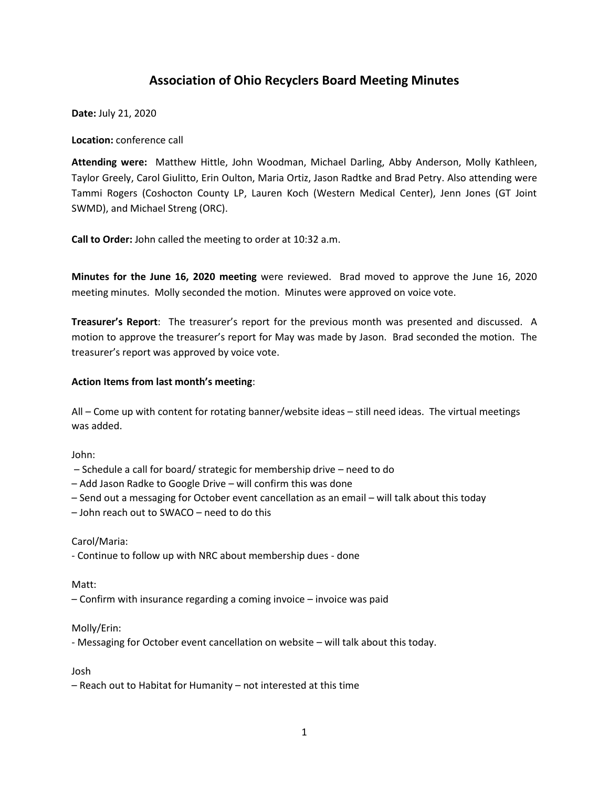# **Association of Ohio Recyclers Board Meeting Minutes**

**Date:** July 21, 2020

**Location:** conference call

**Attending were:** Matthew Hittle, John Woodman, Michael Darling, Abby Anderson, Molly Kathleen, Taylor Greely, Carol Giulitto, Erin Oulton, Maria Ortiz, Jason Radtke and Brad Petry. Also attending were Tammi Rogers (Coshocton County LP, Lauren Koch (Western Medical Center), Jenn Jones (GT Joint SWMD), and Michael Streng (ORC).

**Call to Order:** John called the meeting to order at 10:32 a.m.

**Minutes for the June 16, 2020 meeting** were reviewed. Brad moved to approve the June 16, 2020 meeting minutes. Molly seconded the motion. Minutes were approved on voice vote.

**Treasurer's Report**: The treasurer's report for the previous month was presented and discussed. A motion to approve the treasurer's report for May was made by Jason. Brad seconded the motion. The treasurer's report was approved by voice vote.

## **Action Items from last month's meeting**:

All – Come up with content for rotating banner/website ideas – still need ideas. The virtual meetings was added.

John:

– Schedule a call for board/ strategic for membership drive – need to do

- Add Jason Radke to Google Drive will confirm this was done
- Send out a messaging for October event cancellation as an email will talk about this today
- John reach out to SWACO need to do this

## Carol/Maria:

- Continue to follow up with NRC about membership dues - done

#### Matt:

– Confirm with insurance regarding a coming invoice – invoice was paid

#### Molly/Erin:

- Messaging for October event cancellation on website – will talk about this today.

Josh

– Reach out to Habitat for Humanity – not interested at this time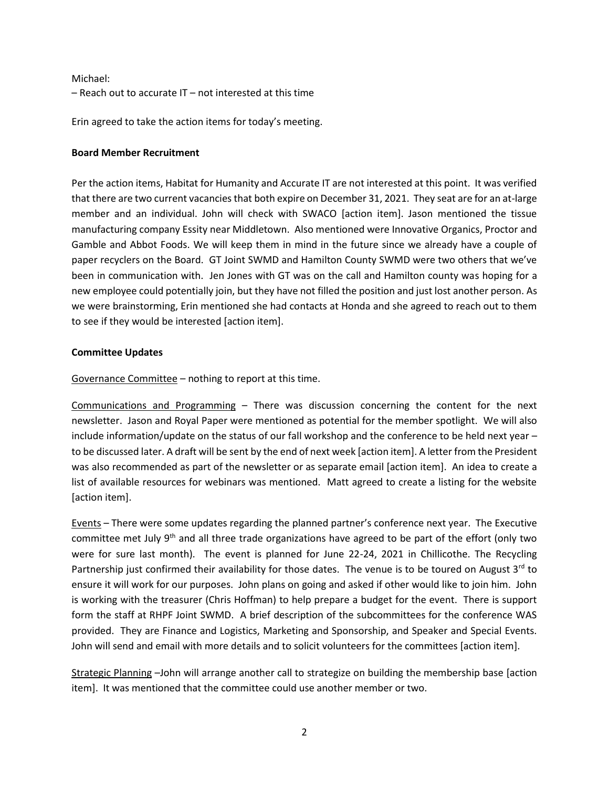Michael: – Reach out to accurate IT – not interested at this time

Erin agreed to take the action items for today's meeting.

# **Board Member Recruitment**

Per the action items, Habitat for Humanity and Accurate IT are not interested at this point. It was verified that there are two current vacancies that both expire on December 31, 2021. They seat are for an at-large member and an individual. John will check with SWACO [action item]. Jason mentioned the tissue manufacturing company Essity near Middletown. Also mentioned were Innovative Organics, Proctor and Gamble and Abbot Foods. We will keep them in mind in the future since we already have a couple of paper recyclers on the Board. GT Joint SWMD and Hamilton County SWMD were two others that we've been in communication with. Jen Jones with GT was on the call and Hamilton county was hoping for a new employee could potentially join, but they have not filled the position and just lost another person. As we were brainstorming, Erin mentioned she had contacts at Honda and she agreed to reach out to them to see if they would be interested [action item].

# **Committee Updates**

Governance Committee – nothing to report at this time.

Communications and Programming – There was discussion concerning the content for the next newsletter. Jason and Royal Paper were mentioned as potential for the member spotlight. We will also include information/update on the status of our fall workshop and the conference to be held next year – to be discussed later. A draft will be sent by the end of next week [action item]. A letter from the President was also recommended as part of the newsletter or as separate email [action item]. An idea to create a list of available resources for webinars was mentioned. Matt agreed to create a listing for the website [action item].

Events – There were some updates regarding the planned partner's conference next year. The Executive committee met July  $9<sup>th</sup>$  and all three trade organizations have agreed to be part of the effort (only two were for sure last month). The event is planned for June 22-24, 2021 in Chillicothe. The Recycling Partnership just confirmed their availability for those dates. The venue is to be toured on August  $3^{rd}$  to ensure it will work for our purposes. John plans on going and asked if other would like to join him. John is working with the treasurer (Chris Hoffman) to help prepare a budget for the event. There is support form the staff at RHPF Joint SWMD. A brief description of the subcommittees for the conference WAS provided. They are Finance and Logistics, Marketing and Sponsorship, and Speaker and Special Events. John will send and email with more details and to solicit volunteers for the committees [action item].

Strategic Planning –John will arrange another call to strategize on building the membership base [action item]. It was mentioned that the committee could use another member or two.